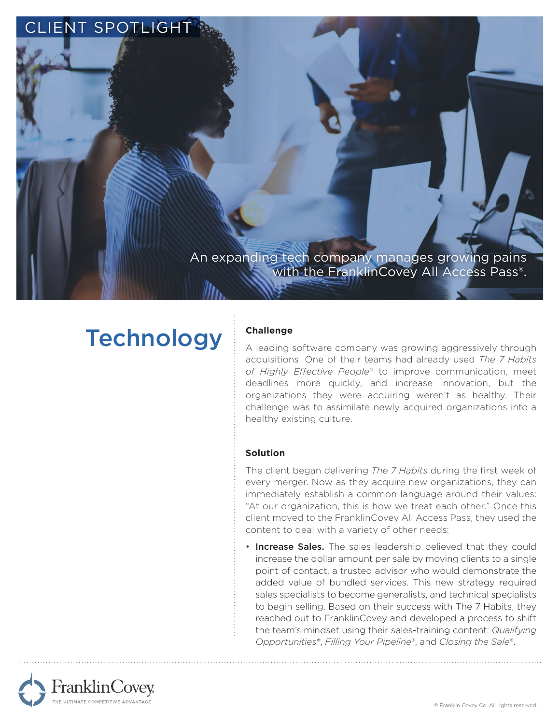

# **Technology**

## **Challenge**

A leading software company was growing aggressively through acquisitions. One of their teams had already used *The 7 Habits of Highly Effective People*® to improve communication, meet deadlines more quickly, and increase innovation, but the organizations they were acquiring weren't as healthy. Their challenge was to assimilate newly acquired organizations into a healthy existing culture.

## **Solution**

The client began delivering *The 7 Habits* during the first week of every merger. Now as they acquire new organizations, they can immediately establish a common language around their values: "At our organization, this is how we treat each other." Once this client moved to the FranklinCovey All Access Pass, they used the content to deal with a variety of other needs:

• Increase Sales. The sales leadership believed that they could increase the dollar amount per sale by moving clients to a single point of contact, a trusted advisor who would demonstrate the added value of bundled services. This new strategy required sales specialists to become generalists, and technical specialists to begin selling. Based on their success with The 7 Habits, they reached out to FranklinCovey and developed a process to shift the team's mindset using their sales-training content: *Qualifying Opportunities*®, *Filling Your Pipeline*®, and *Closing the Sale*®.